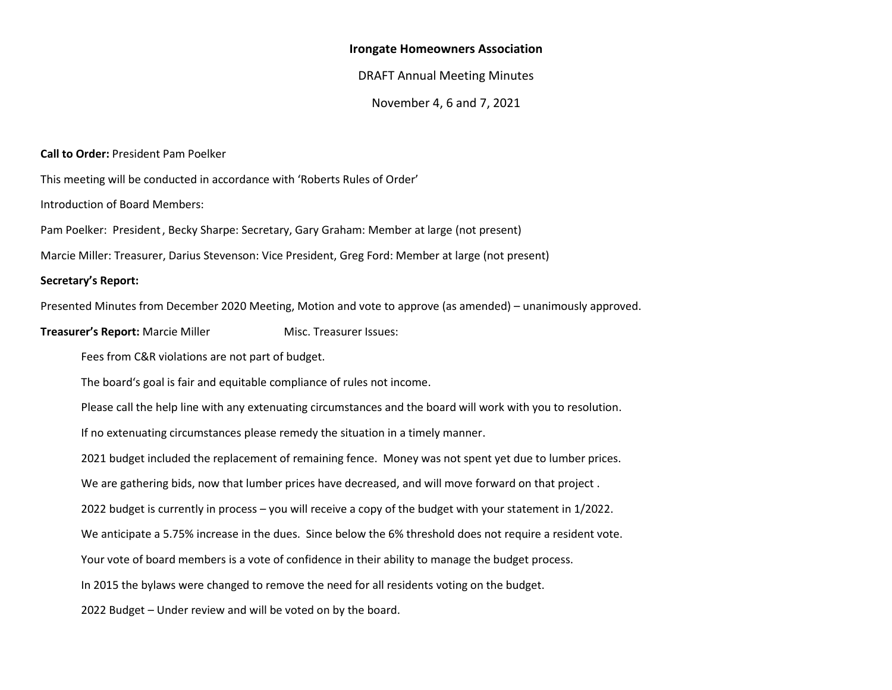#### **Irongate Homeowners Association**

#### DRAFT Annual Meeting Minutes

November 4, 6 and 7, 2021

**Call to Order:** President Pam Poelker

This meeting will be conducted in accordance with 'Roberts Rules of Order'

Introduction of Board Members:

Pam Poelker: President, Becky Sharpe: Secretary, Gary Graham: Member at large (not present)

Marcie Miller: Treasurer, Darius Stevenson: Vice President, Greg Ford: Member at large (not present)

#### **Secretary's Report:**

Presented Minutes from December 2020 Meeting, Motion and vote to approve (as amended) – unanimously approved.

**Treasurer's Report:** Marcie Miller Misc. Treasurer Issues:

Fees from C&R violations are not part of budget.

The board's goal is fair and equitable compliance of rules not income.

Please call the help line with any extenuating circumstances and the board will work with you to resolution.

If no extenuating circumstances please remedy the situation in a timely manner.

2021 budget included the replacement of remaining fence. Money was not spent yet due to lumber prices.

We are gathering bids, now that lumber prices have decreased, and will move forward on that project .

2022 budget is currently in process – you will receive a copy of the budget with your statement in 1/2022.

We anticipate a 5.75% increase in the dues. Since below the 6% threshold does not require a resident vote.

Your vote of board members is a vote of confidence in their ability to manage the budget process.

In 2015 the bylaws were changed to remove the need for all residents voting on the budget.

2022 Budget – Under review and will be voted on by the board.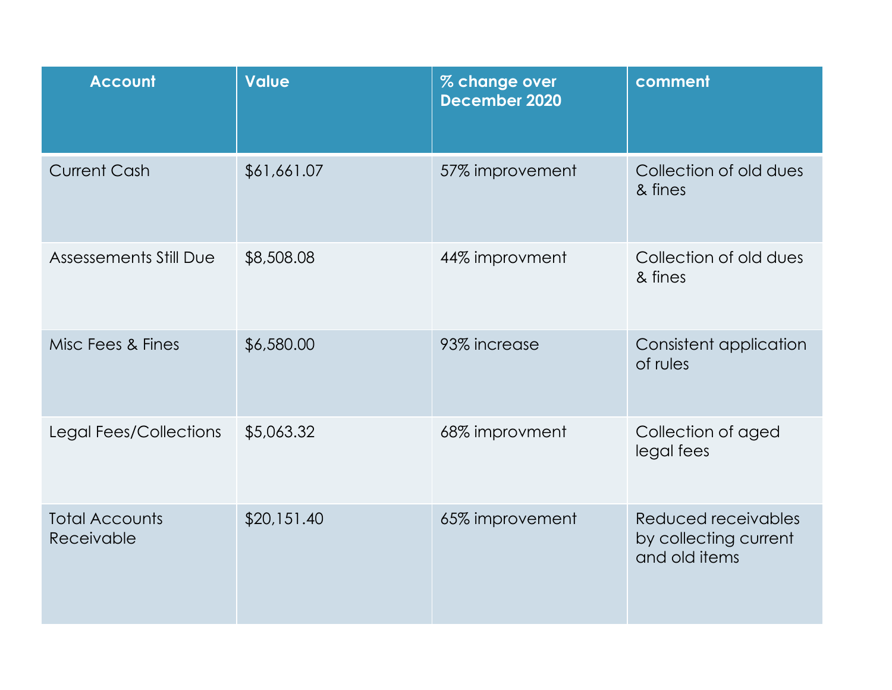| <b>Account</b>                      | <b>Value</b> | % change over<br><b>December 2020</b> | comment                                                       |
|-------------------------------------|--------------|---------------------------------------|---------------------------------------------------------------|
| <b>Current Cash</b>                 | \$61,661.07  | 57% improvement                       | Collection of old dues<br>& fines                             |
| <b>Assessements Still Due</b>       | \$8,508.08   | 44% improvment                        | Collection of old dues<br>& fines                             |
| Misc Fees & Fines                   | \$6,580.00   | 93% increase                          | Consistent application<br>of rules                            |
| Legal Fees/Collections              | \$5,063.32   | 68% improvment                        | Collection of aged<br>legal fees                              |
| <b>Total Accounts</b><br>Receivable | \$20,151.40  | 65% improvement                       | Reduced receivables<br>by collecting current<br>and old items |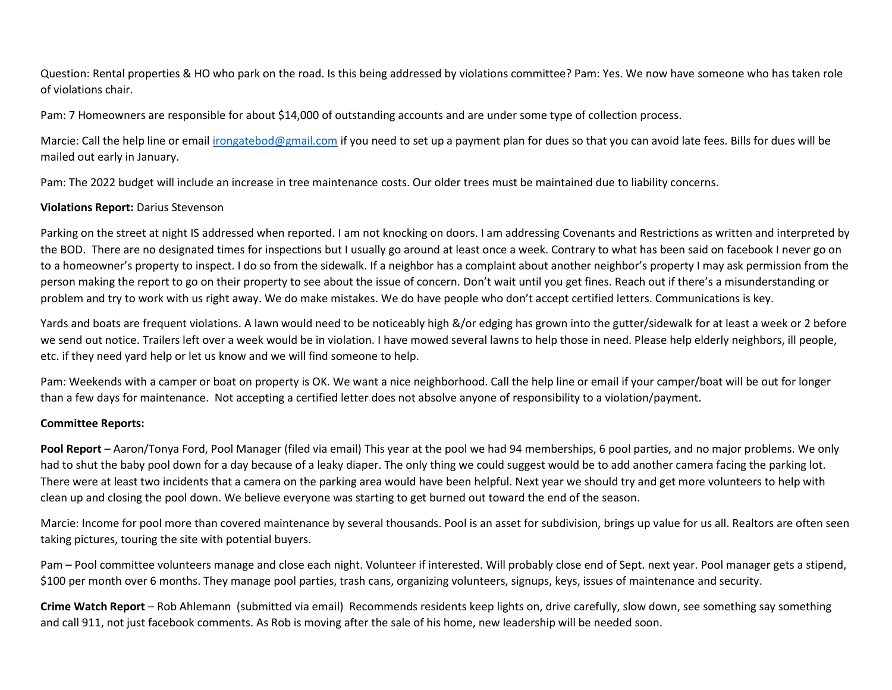Question: Rental properties & HO who park on the road. Is this being addressed by violations committee? Pam: Yes. We now have someone who has taken role of violations chair.

Pam: 7 Homeowners are responsible for about \$14,000 of outstanding accounts and are under some type of collection process.

Marcie: Call the help line or emai[l irongatebod@gmail.com](mailto:irongatebod@gmail.com) if you need to set up a payment plan for dues so that you can avoid late fees. Bills for dues will be mailed out early in January.

Pam: The 2022 budget will include an increase in tree maintenance costs. Our older trees must be maintained due to liability concerns.

# **Violations Report:** Darius Stevenson

Parking on the street at night IS addressed when reported. I am not knocking on doors. I am addressing Covenants and Restrictions as written and interpreted by the BOD. There are no designated times for inspections but I usually go around at least once a week. Contrary to what has been said on facebook I never go on to a homeowner's property to inspect. I do so from the sidewalk. If a neighbor has a complaint about another neighbor's property I may ask permission from the person making the report to go on their property to see about the issue of concern. Don't wait until you get fines. Reach out if there's a misunderstanding or problem and try to work with us right away. We do make mistakes. We do have people who don't accept certified letters. Communications is key.

Yards and boats are frequent violations. A lawn would need to be noticeably high &/or edging has grown into the gutter/sidewalk for at least a week or 2 before we send out notice. Trailers left over a week would be in violation. I have mowed several lawns to help those in need. Please help elderly neighbors, ill people, etc. if they need yard help or let us know and we will find someone to help.

Pam: Weekends with a camper or boat on property is OK. We want a nice neighborhood. Call the help line or email if your camper/boat will be out for longer than a few days for maintenance. Not accepting a certified letter does not absolve anyone of responsibility to a violation/payment.

### **Committee Reports:**

**Pool Report** – Aaron/Tonya Ford, Pool Manager (filed via email) This year at the pool we had 94 memberships, 6 pool parties, and no major problems. We only had to shut the baby pool down for a day because of a leaky diaper. The only thing we could suggest would be to add another camera facing the parking lot. There were at least two incidents that a camera on the parking area would have been helpful. Next year we should try and get more volunteers to help with clean up and closing the pool down. We believe everyone was starting to get burned out toward the end of the season.

Marcie: Income for pool more than covered maintenance by several thousands. Pool is an asset for subdivision, brings up value for us all. Realtors are often seen taking pictures, touring the site with potential buyers.

Pam – Pool committee volunteers manage and close each night. Volunteer if interested. Will probably close end of Sept. next year. Pool manager gets a stipend, \$100 per month over 6 months. They manage pool parties, trash cans, organizing volunteers, signups, keys, issues of maintenance and security.

**Crime Watch Report** – Rob Ahlemann (submitted via email) Recommends residents keep lights on, drive carefully, slow down, see something say something and call 911, not just facebook comments. As Rob is moving after the sale of his home, new leadership will be needed soon.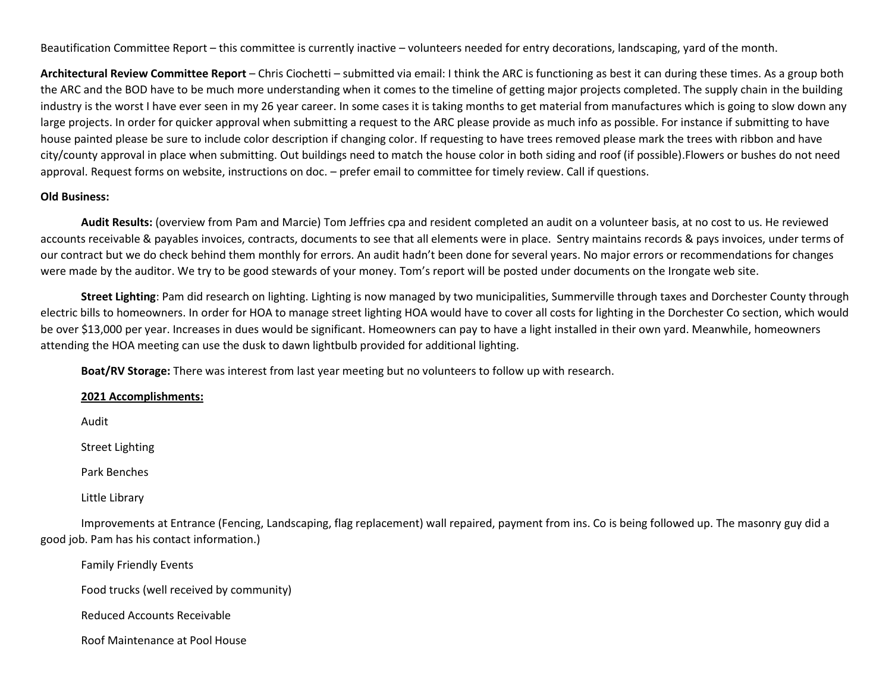Beautification Committee Report – this committee is currently inactive – volunteers needed for entry decorations, landscaping, yard of the month.

**Architectural Review Committee Report** – Chris Ciochetti – submitted via email: I think the ARC is functioning as best it can during these times. As a group both the ARC and the BOD have to be much more understanding when it comes to the timeline of getting major projects completed. The supply chain in the building industry is the worst I have ever seen in my 26 year career. In some cases it is taking months to get material from manufactures which is going to slow down any large projects. In order for quicker approval when submitting a request to the ARC please provide as much info as possible. For instance if submitting to have house painted please be sure to include color description if changing color. If requesting to have trees removed please mark the trees with ribbon and have city/county approval in place when submitting. Out buildings need to match the house color in both siding and roof (if possible).Flowers or bushes do not need approval. Request forms on website, instructions on doc. – prefer email to committee for timely review. Call if questions.

# **Old Business:**

**Audit Results:** (overview from Pam and Marcie) Tom Jeffries cpa and resident completed an audit on a volunteer basis, at no cost to us. He reviewed accounts receivable & payables invoices, contracts, documents to see that all elements were in place. Sentry maintains records & pays invoices, under terms of our contract but we do check behind them monthly for errors. An audit hadn't been done for several years. No major errors or recommendations for changes were made by the auditor. We try to be good stewards of your money. Tom's report will be posted under documents on the Irongate web site.

**Street Lighting**: Pam did research on lighting. Lighting is now managed by two municipalities, Summerville through taxes and Dorchester County through electric bills to homeowners. In order for HOA to manage street lighting HOA would have to cover all costs for lighting in the Dorchester Co section, which would be over \$13,000 per year. Increases in dues would be significant. Homeowners can pay to have a light installed in their own yard. Meanwhile, homeowners attending the HOA meeting can use the dusk to dawn lightbulb provided for additional lighting.

**Boat/RV Storage:** There was interest from last year meeting but no volunteers to follow up with research.

### **2021 Accomplishments:**

Audit

Street Lighting

Park Benches

Little Library

Improvements at Entrance (Fencing, Landscaping, flag replacement) wall repaired, payment from ins. Co is being followed up. The masonry guy did a good job. Pam has his contact information.)

Family Friendly Events

Food trucks (well received by community)

Reduced Accounts Receivable

Roof Maintenance at Pool House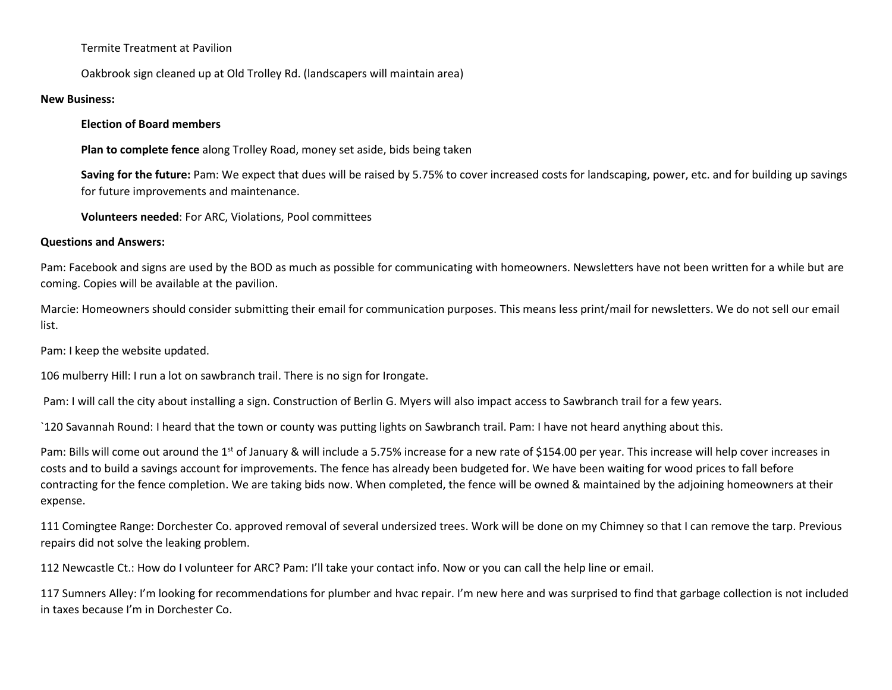Termite Treatment at Pavilion

Oakbrook sign cleaned up at Old Trolley Rd. (landscapers will maintain area)

## **New Business:**

# **Election of Board members**

**Plan to complete fence** along Trolley Road, money set aside, bids being taken

**Saving for the future:** Pam: We expect that dues will be raised by 5.75% to cover increased costs for landscaping, power, etc. and for building up savings for future improvements and maintenance.

**Volunteers needed**: For ARC, Violations, Pool committees

# **Questions and Answers:**

Pam: Facebook and signs are used by the BOD as much as possible for communicating with homeowners. Newsletters have not been written for a while but are coming. Copies will be available at the pavilion.

Marcie: Homeowners should consider submitting their email for communication purposes. This means less print/mail for newsletters. We do not sell our email list.

Pam: I keep the website updated.

106 mulberry Hill: I run a lot on sawbranch trail. There is no sign for Irongate.

Pam: I will call the city about installing a sign. Construction of Berlin G. Myers will also impact access to Sawbranch trail for a few years.

`120 Savannah Round: I heard that the town or county was putting lights on Sawbranch trail. Pam: I have not heard anything about this.

Pam: Bills will come out around the 1<sup>st</sup> of January & will include a 5.75% increase for a new rate of \$154.00 per year. This increase will help cover increases in costs and to build a savings account for improvements. The fence has already been budgeted for. We have been waiting for wood prices to fall before contracting for the fence completion. We are taking bids now. When completed, the fence will be owned & maintained by the adjoining homeowners at their expense.

111 Comingtee Range: Dorchester Co. approved removal of several undersized trees. Work will be done on my Chimney so that I can remove the tarp. Previous repairs did not solve the leaking problem.

112 Newcastle Ct.: How do I volunteer for ARC? Pam: I'll take your contact info. Now or you can call the help line or email.

117 Sumners Alley: I'm looking for recommendations for plumber and hvac repair. I'm new here and was surprised to find that garbage collection is not included in taxes because I'm in Dorchester Co.